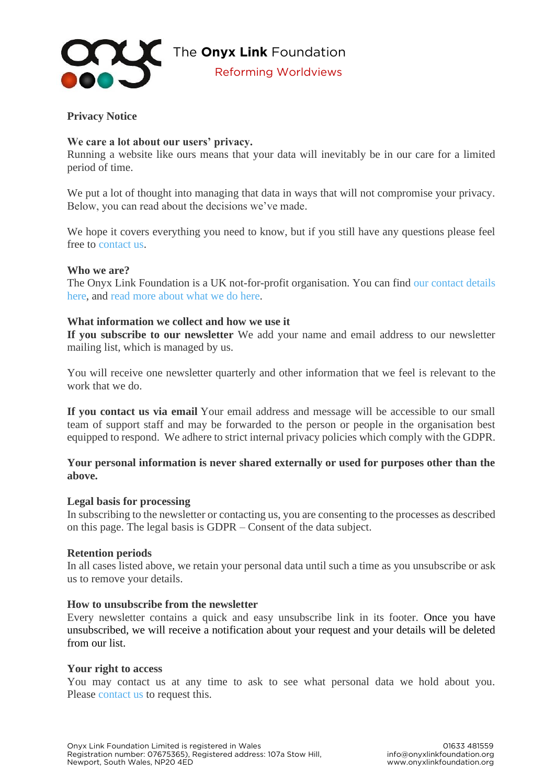

# **Privacy Notice**

## **We care a lot about our users' privacy.**

Running a website like ours means that your data will inevitably be in our care for a limited period of time.

We put a lot of thought into managing that data in ways that will not compromise your privacy. Below, you can read about the decisions we've made.

We hope it covers everything you need to know, but if you still have any questions please feel free to [contact us.](http://www.onyxlinkfoundation.org/contact-us/)

### **Who we are?**

The Onyx Link Foundation is a UK not-for-profit organisation. You can find [our contact details](http://www.onyxlinkfoundation.org/contact-us/)  [here,](http://www.onyxlinkfoundation.org/contact-us/) and [read more about what we do here.](https://onyxlinkfoundation.org/about-us/)

### **What information we collect and how we use it**

**If you subscribe to our newsletter** We add your name and email address to our newsletter mailing list, which is managed by us.

You will receive one newsletter quarterly and other information that we feel is relevant to the work that we do.

**If you contact us via email** Your email address and message will be accessible to our small team of support staff and may be forwarded to the person or people in the organisation best equipped to respond. We adhere to strict internal privacy policies which comply with the GDPR.

# **Your personal information is never shared externally or used for purposes other than the above.**

#### **Legal basis for processing**

In subscribing to the newsletter or contacting us, you are consenting to the processes as described on this page. The legal basis is GDPR – Consent of the data subject.

#### **Retention periods**

In all cases listed above, we retain your personal data until such a time as you unsubscribe or ask us to remove your details.

#### **How to unsubscribe from the newsletter**

Every newsletter contains a quick and easy unsubscribe link in its footer. Once you have unsubscribed, we will receive a notification about your request and your details will be deleted from our list.

#### **Your right to access**

You may contact us at any time to ask to see what personal data we hold about you. Please [contact us](http://www.onyxlinkfoundation.org/contact-us/) to request this.